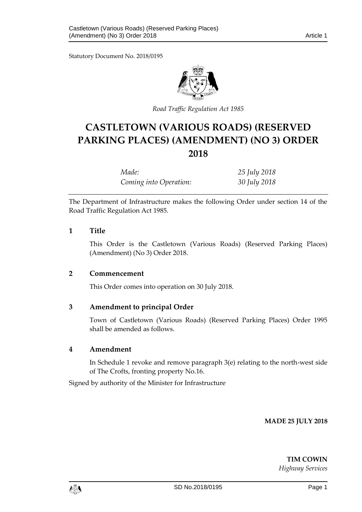Statutory Document No. 2018/0195



*Road Traffic Regulation Act 1985*

# **CASTLETOWN (VARIOUS ROADS) (RESERVED PARKING PLACES) (AMENDMENT) (NO 3) ORDER 2018**

| Made:                  | 25 July 2018 |
|------------------------|--------------|
| Coming into Operation: | 30 July 2018 |

The Department of Infrastructure makes the following Order under section 14 of the Road Traffic Regulation Act 1985.

## **1 Title**

This Order is the Castletown (Various Roads) (Reserved Parking Places) (Amendment) (No 3) Order 2018.

## **2 Commencement**

This Order comes into operation on 30 July 2018.

## **3 Amendment to principal Order**

Town of Castletown (Various Roads) (Reserved Parking Places) Order 1995 shall be amended as follows.

#### **4 Amendment**

In Schedule 1 revoke and remove paragraph 3(e) relating to the north-west side of The Crofts, fronting property No.16.

Signed by authority of the Minister for Infrastructure

**MADE 25 JULY 2018**

**TIM COWIN** *Highway Services*